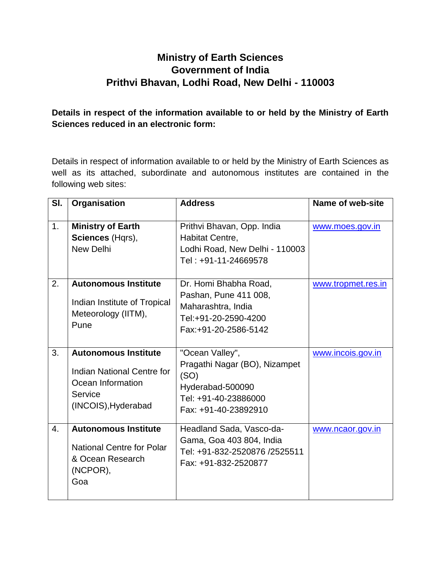## **Ministry of Earth Sciences Government of India Prithvi Bhavan, Lodhi Road, New Delhi - 110003**

## **Details in respect of the information available to or held by the Ministry of Earth Sciences reduced in an electronic form:**

Details in respect of information available to or held by the Ministry of Earth Sciences as well as its attached, subordinate and autonomous institutes are contained in the following web sites:

| SI. | Organisation                                                                                                            | <b>Address</b>                                                                                                               | Name of web-site   |
|-----|-------------------------------------------------------------------------------------------------------------------------|------------------------------------------------------------------------------------------------------------------------------|--------------------|
| 1.  | <b>Ministry of Earth</b><br>Sciences (Hqrs),<br><b>New Delhi</b>                                                        | Prithvi Bhavan, Opp. India<br>Habitat Centre,<br>Lodhi Road, New Delhi - 110003<br>Tel: +91-11-24669578                      | www.moes.gov.in    |
| 2.  | <b>Autonomous Institute</b><br>Indian Institute of Tropical<br>Meteorology (IITM),<br>Pune                              | Dr. Homi Bhabha Road,<br>Pashan, Pune 411 008,<br>Maharashtra, India<br>Tel:+91-20-2590-4200<br>Fax:+91-20-2586-5142         | www.tropmet.res.in |
| 3.  | <b>Autonomous Institute</b><br><b>Indian National Centre for</b><br>Ocean Information<br>Service<br>(INCOIS), Hyderabad | "Ocean Valley",<br>Pragathi Nagar (BO), Nizampet<br>(SO)<br>Hyderabad-500090<br>Tel: +91-40-23886000<br>Fax: +91-40-23892910 | www.incois.gov.in  |
| 4.  | <b>Autonomous Institute</b><br><b>National Centre for Polar</b><br>& Ocean Research<br>(NCPOR),<br>Goa                  | Headland Sada, Vasco-da-<br>Gama, Goa 403 804, India<br>Tel: +91-832-2520876 /2525511<br>Fax: +91-832-2520877                | www.ncaor.gov.in   |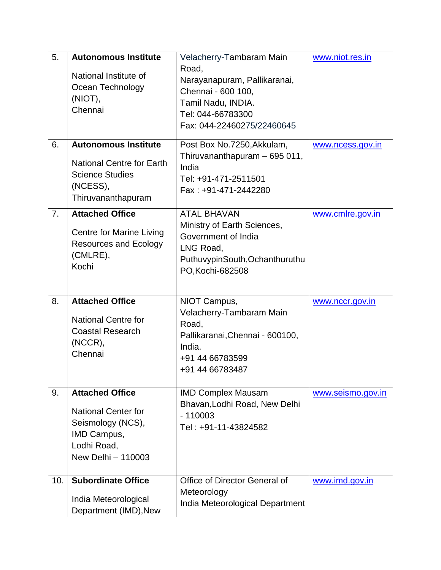| 5.  | <b>Autonomous Institute</b><br>National Institute of<br>Ocean Technology<br>(NIOT),<br>Chennai                                | Velacherry-Tambaram Main<br>Road,<br>Narayanapuram, Pallikaranai,<br>Chennai - 600 100,<br>Tamil Nadu, INDIA.<br>Tel: 044-66783300<br>Fax: 044-22460275/22460645 | www.niot.res.in   |
|-----|-------------------------------------------------------------------------------------------------------------------------------|------------------------------------------------------------------------------------------------------------------------------------------------------------------|-------------------|
| 6.  | <b>Autonomous Institute</b><br><b>National Centre for Earth</b><br><b>Science Studies</b><br>(NCESS),<br>Thiruvananthapuram   | Post Box No.7250, Akkulam,<br>Thiruvananthapuram - 695 011,<br>India<br>Tel: +91-471-2511501<br>Fax: +91-471-2442280                                             | www.ncess.gov.in  |
| 7.  | <b>Attached Office</b><br><b>Centre for Marine Living</b><br><b>Resources and Ecology</b><br>(CMLRE),<br>Kochi                | <b>ATAL BHAVAN</b><br>Ministry of Earth Sciences,<br>Government of India<br>LNG Road,<br>PuthuvypinSouth, Ochanthuruthu<br>PO, Kochi-682508                      | www.cmlre.gov.in  |
| 8.  | <b>Attached Office</b><br><b>National Centre for</b><br><b>Coastal Research</b><br>(NCCR),<br>Chennai                         | NIOT Campus,<br>Velacherry-Tambaram Main<br>Road,<br>Pallikaranai, Chennai - 600100,<br>India.<br>+91 44 66783599<br>+91 44 66783487                             | www.nccr.gov.in   |
| 9.  | <b>Attached Office</b><br><b>National Center for</b><br>Seismology (NCS),<br>IMD Campus,<br>Lodhi Road,<br>New Delhi - 110003 | <b>IMD Complex Mausam</b><br>Bhavan, Lodhi Road, New Delhi<br>$-110003$<br>Tel: +91-11-43824582                                                                  | www.seismo.gov.in |
| 10. | <b>Subordinate Office</b><br>India Meteorological<br>Department (IMD), New                                                    | Office of Director General of<br>Meteorology<br>India Meteorological Department                                                                                  | www.imd.gov.in    |